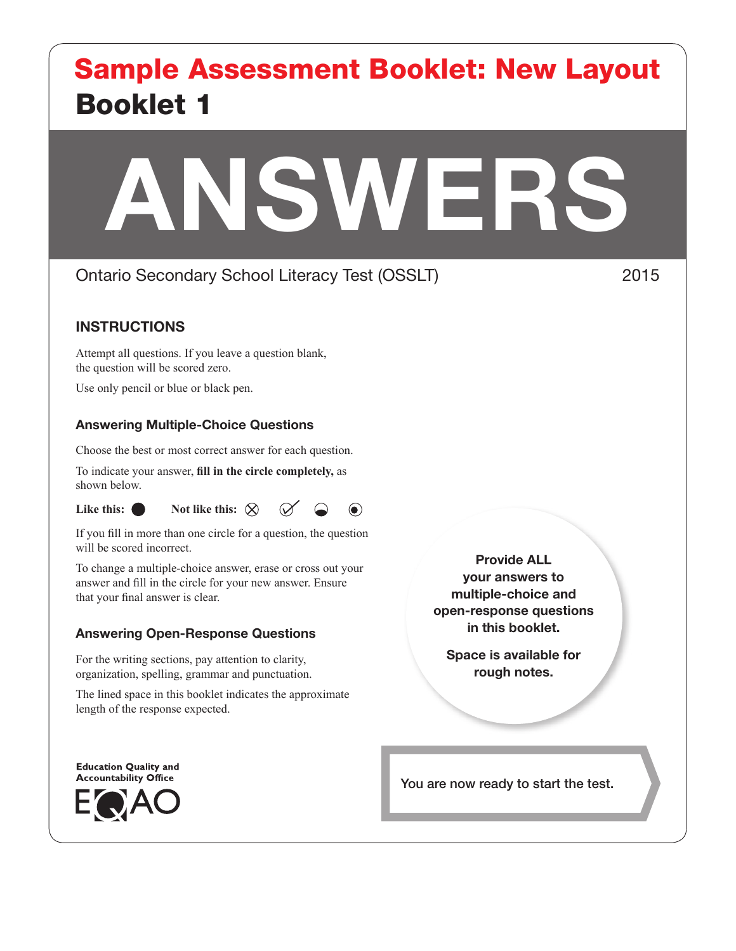# Booklet 1 Sample Assessment Booklet: New Layout

# ANSWERS

# Ontario Secondary School Literacy Test (OSSLT) 2015

# INSTRUCTIONS

Attempt all questions. If you leave a question blank, the question will be scored zero.

Use only pencil or blue or black pen.

### Answering Multiple-Choice Questions

Choose the best or most correct answer for each question.

To indicate your answer, **fill in the circle completely,** as shown below.





 $\odot$ 

If you fill in more than one circle for a question, the question will be scored incorrect.

To change a multiple-choice answer, erase or cross out your answer and fill in the circle for your new answer. Ensure that your final answer is clear.

### Answering Open-Response Questions

For the writing sections, pay attention to clarity, organization, spelling, grammar and punctuation.

The lined space in this booklet indicates the approximate length of the response expected.

Provide ALL your answers to multiple-choice and open-response questions in this booklet.

Space is available for rough notes.

**Education Quality and Accountability Office** 



You are now ready to start the test.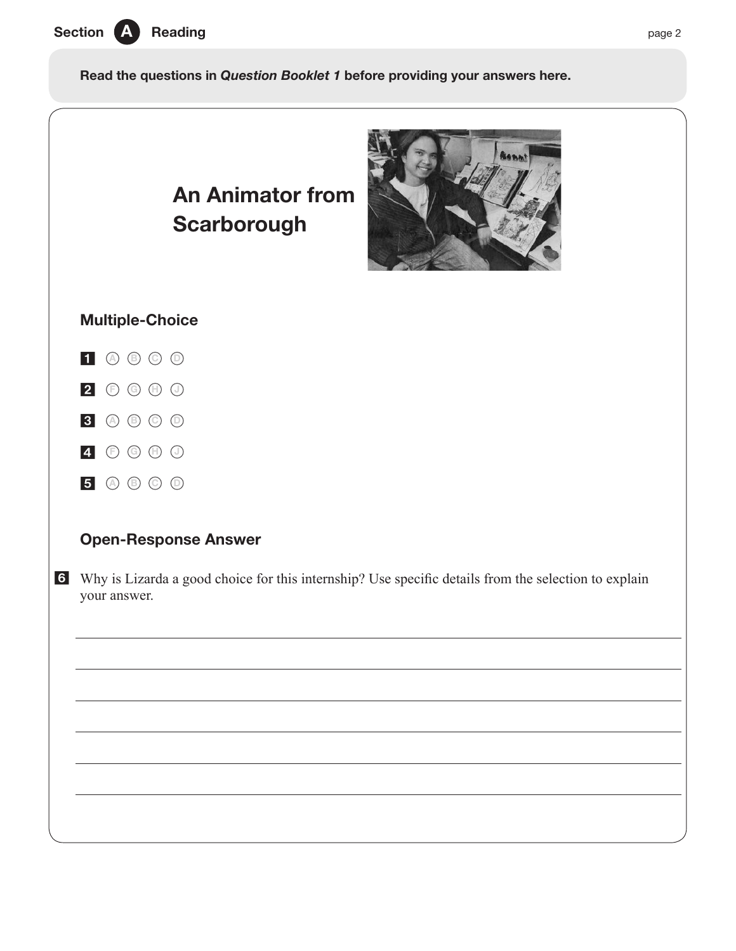

Read the questions in *Question Booklet 1* before providing your answers here.

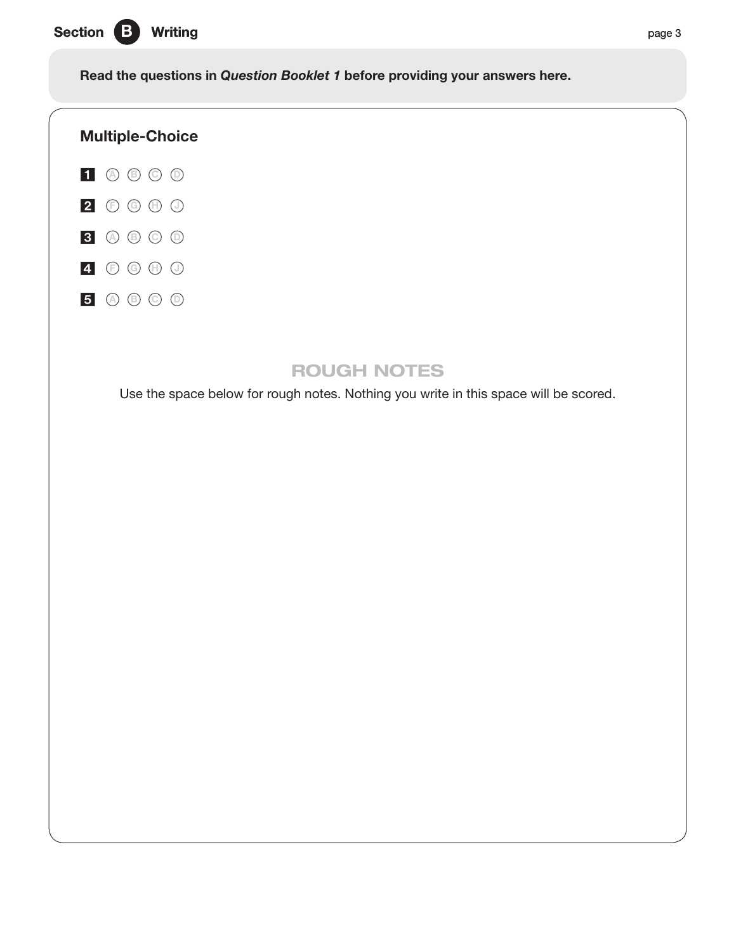Section B Writing page 3

Read the questions in *Question Booklet 1* before providing your answers here.



# ROUGH NOTES

Use the space below for rough notes. Nothing you write in this space will be scored.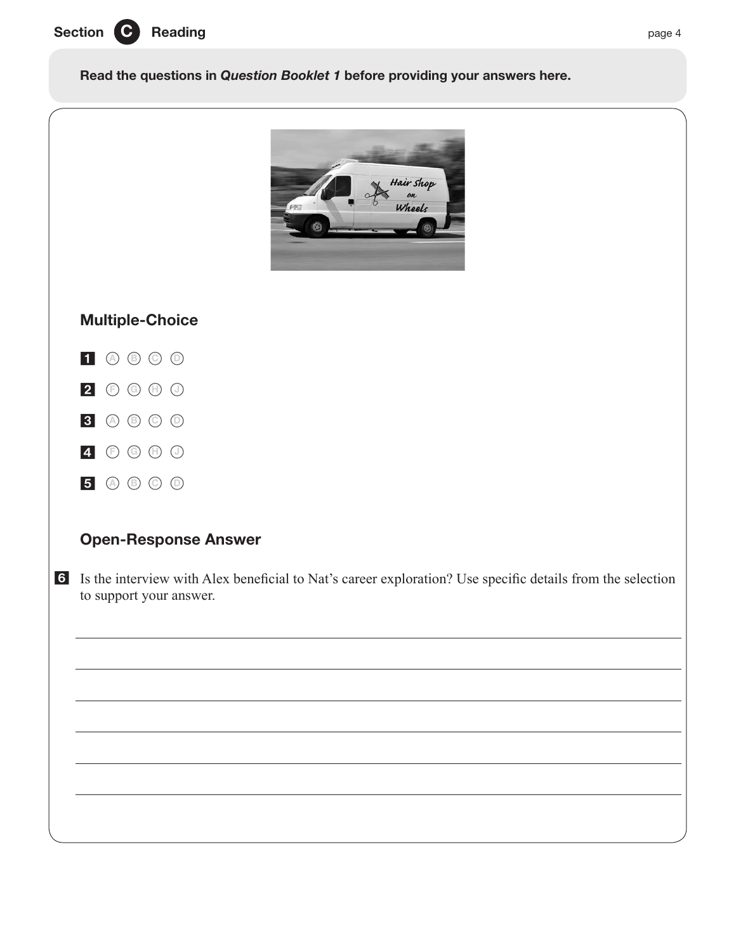

Read the questions in *Question Booklet 1* before providing your answers here.



# Multiple-Choice



2 **<sup>F</sup> <sup>G</sup> <sup>H</sup> <sup>J</sup>**

- 3 **<sup>A</sup> <sup>B</sup> <sup>C</sup> <sup>D</sup>**
- 4 **<sup>F</sup> <sup>G</sup> <sup>H</sup> <sup>J</sup>**
- 5 **<sup>A</sup> <sup>B</sup> <sup>C</sup> <sup>D</sup>**

# Open-Response Answer

6 Is the interview with Alex beneficial to Nat's career exploration? Use specific details from the selection to support your answer.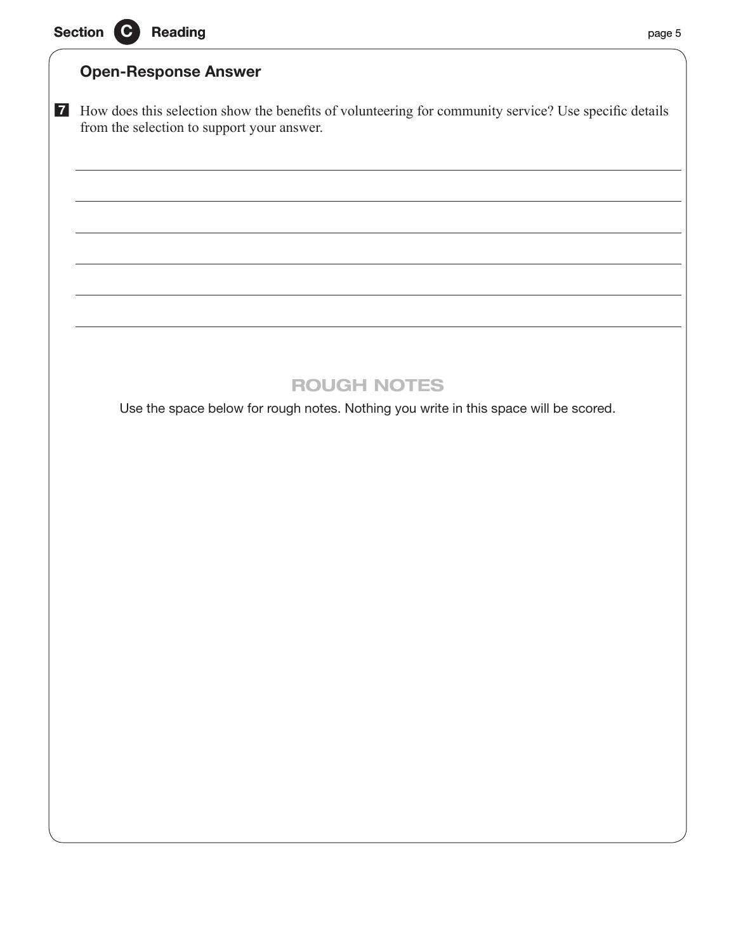# Open-Response Answer

7 How does this selection show the benefits of volunteering for community service? Use specific details from the selection to support your answer.

# ROUGH NOTES

Use the space below for rough notes. Nothing you write in this space will be scored.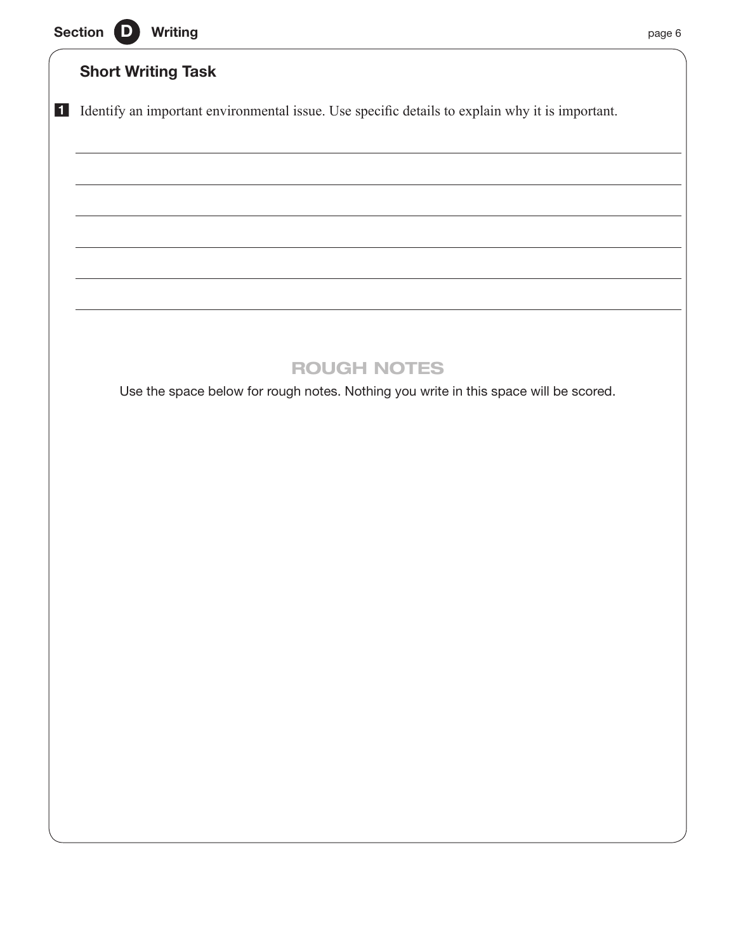|  |  | Section D Writing |  | page 6 |
|--|--|-------------------|--|--------|
|--|--|-------------------|--|--------|



# Short Writing Task

1 Identify an important environmental issue. Use specific details to explain why it is important.

# ROUGH NOTES

Use the space below for rough notes. Nothing you write in this space will be scored.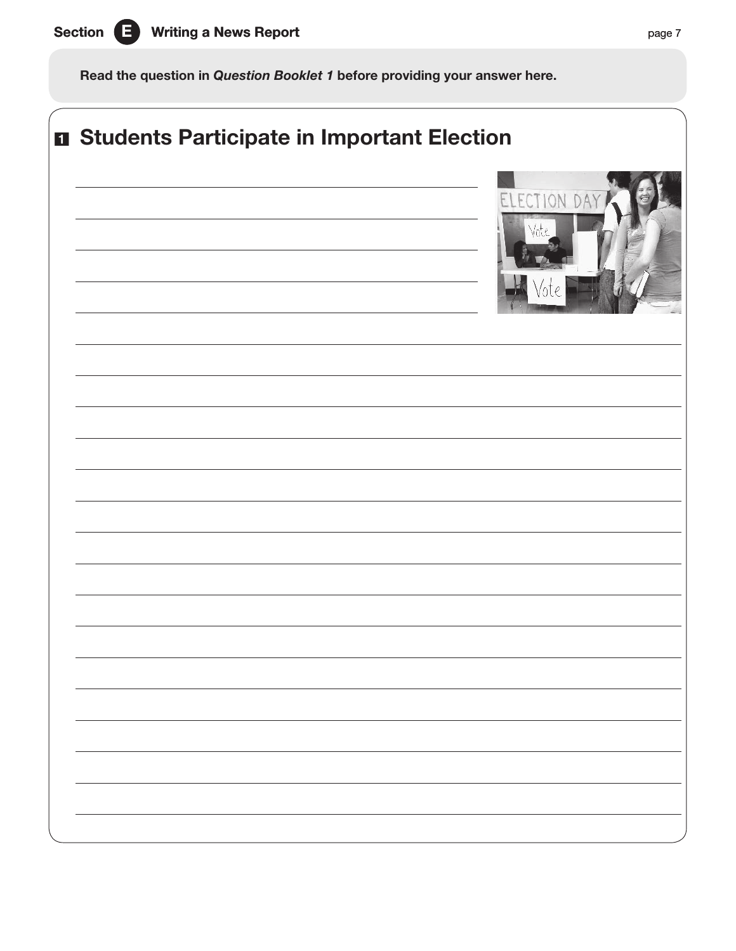

Read the question in *Question Booklet 1* before providing your answer here.

| <b>n</b> Students Participate in Important Election |
|-----------------------------------------------------|
| ELECTION DA<br>hte :                                |
|                                                     |
|                                                     |
|                                                     |
|                                                     |
|                                                     |
|                                                     |
|                                                     |
|                                                     |
|                                                     |
|                                                     |
|                                                     |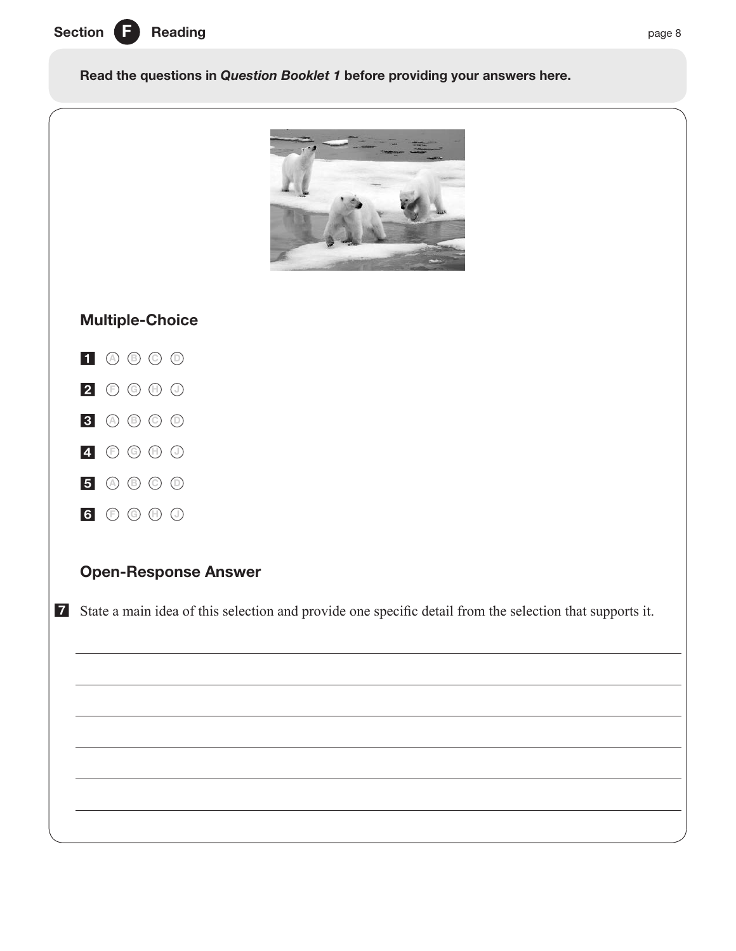

Read the questions in *Question Booklet 1* before providing your answers here.



# Multiple-Choice



- **<sup>F</sup> <sup>G</sup> <sup>H</sup> <sup>J</sup>**
- **<sup>A</sup> <sup>B</sup> <sup>C</sup> <sup>D</sup>**
- **<sup>F</sup> <sup>G</sup> <sup>H</sup> <sup>J</sup>**
- **<sup>A</sup> <sup>B</sup> <sup>C</sup> <sup>D</sup>**
- **<sup>F</sup> <sup>G</sup> <sup>H</sup> <sup>J</sup>**

# Open-Response Answer

State a main idea of this selection and provide one specific detail from the selection that supports it.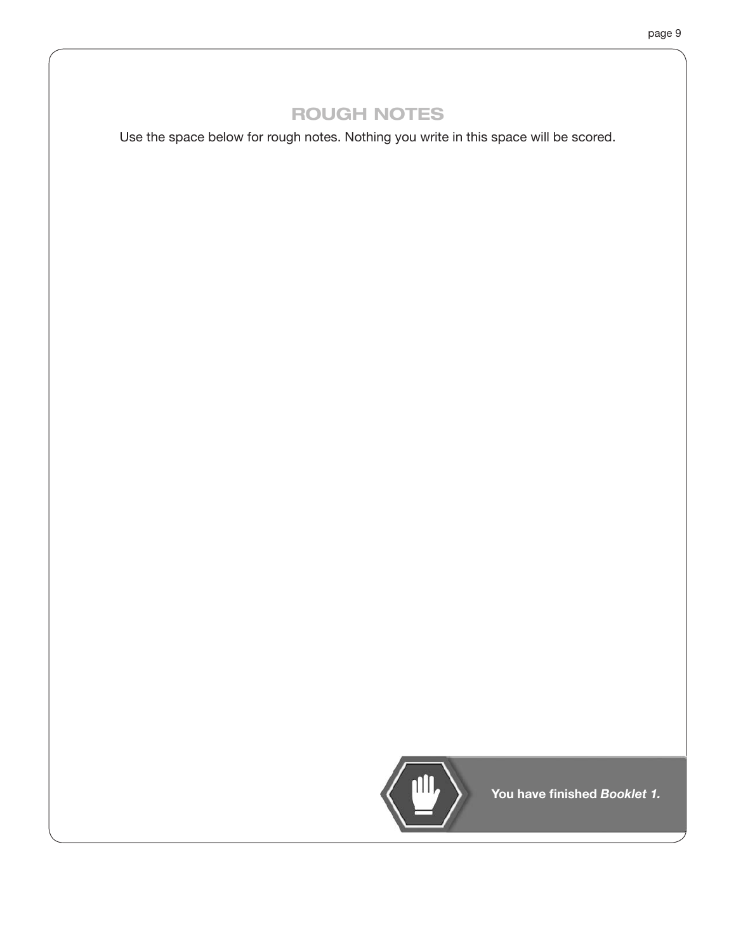# ROUGH NOTES

Use the space below for rough notes. Nothing you write in this space will be scored.



You have finished *Booklet 1.*